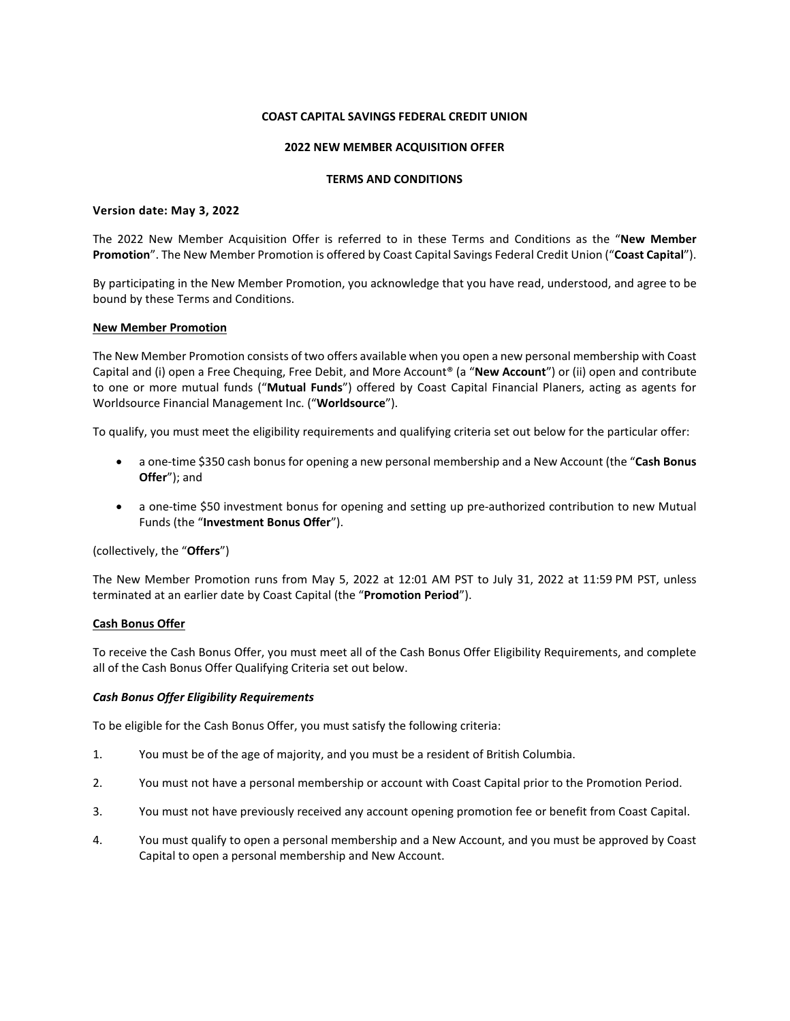### **COAST CAPITAL SAVINGS FEDERAL CREDIT UNION**

## **2022 NEW MEMBER ACQUISITION OFFER**

#### **TERMS AND CONDITIONS**

#### **Version date: May 3, 2022**

The 2022 New Member Acquisition Offer is referred to in these Terms and Conditions as the "**New Member Promotion**". The New Member Promotion is offered by Coast Capital Savings Federal Credit Union ("**Coast Capital**").

By participating in the New Member Promotion, you acknowledge that you have read, understood, and agree to be bound by these Terms and Conditions.

#### **New Member Promotion**

The New Member Promotion consists of two offers available when you open a new personal membership with Coast Capital and (i) open a Free Chequing, Free Debit, and More Account® (a "**New Account**") or (ii) open and contribute to one or more mutual funds ("**Mutual Funds**") offered by Coast Capital Financial Planers, acting as agents for Worldsource Financial Management Inc. ("**Worldsource**").

To qualify, you must meet the eligibility requirements and qualifying criteria set out below for the particular offer:

- a one-time \$350 cash bonus for opening a new personal membership and a New Account (the "**Cash Bonus Offer**"); and
- a one-time \$50 investment bonus for opening and setting up pre-authorized contribution to new Mutual Funds (the "**Investment Bonus Offer**").

(collectively, the "**Offers**")

The New Member Promotion runs from May 5, 2022 at 12:01 AM PST to July 31, 2022 at 11:59 PM PST, unless terminated at an earlier date by Coast Capital (the "**Promotion Period**").

### **Cash Bonus Offer**

To receive the Cash Bonus Offer, you must meet all of the Cash Bonus Offer Eligibility Requirements, and complete all of the Cash Bonus Offer Qualifying Criteria set out below.

### *Cash Bonus Offer Eligibility Requirements*

To be eligible for the Cash Bonus Offer, you must satisfy the following criteria:

- 1. You must be of the age of majority, and you must be a resident of British Columbia.
- 2. You must not have a personal membership or account with Coast Capital prior to the Promotion Period.
- 3. You must not have previously received any account opening promotion fee or benefit from Coast Capital.
- 4. You must qualify to open a personal membership and a New Account, and you must be approved by Coast Capital to open a personal membership and New Account.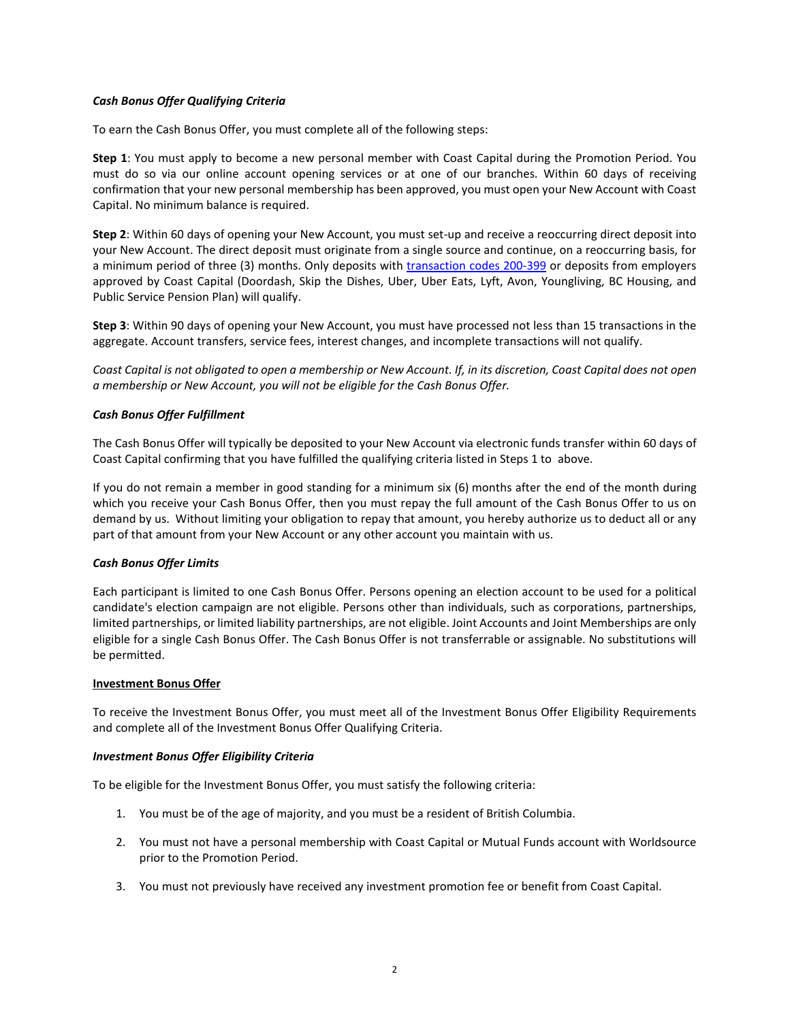# *Cash Bonus Offer Qualifying Criteria*

To earn the Cash Bonus Offer, you must complete all of the following steps:

**Step 1**: You must apply to become a new personal member with Coast Capital during the Promotion Period. You must do so via our online account opening services or at one of our branches. Within 60 days of receiving confirmation that your new personal membership has been approved, you must open your New Account with Coast Capital. No minimum balance is required.

**Step 2**: Within 60 days of opening your New Account, you must set-up and receive a reoccurring direct deposit into your New Account. The direct deposit must originate from a single source and continue, on a reoccurring basis, for a minimum period of three (3) months. Only deposits with [transaction codes 200-399](https://www.payments.ca/sites/default/files/standard007eng.pdf) or deposits from employers approved by Coast Capital (Doordash, Skip the Dishes, Uber, Uber Eats, Lyft, Avon, Youngliving, BC Housing, and Public Service Pension Plan) will qualify.

**Step 3**: Within 90 days of opening your New Account, you must have processed not less than 15 transactions in the aggregate. Account transfers, service fees, interest changes, and incomplete transactions will not qualify.

*Coast Capital is not obligated to open a membership or New Account. If, in its discretion, Coast Capital does not open a membership or New Account, you will not be eligible for the Cash Bonus Offer.* 

## *Cash Bonus Offer Fulfillment*

The Cash Bonus Offer will typically be deposited to your New Account via electronic funds transfer within 60 days of Coast Capital confirming that you have fulfilled the qualifying criteria listed in Steps 1 to above.

If you do not remain a member in good standing for a minimum six (6) months after the end of the month during which you receive your Cash Bonus Offer, then you must repay the full amount of the Cash Bonus Offer to us on demand by us. Without limiting your obligation to repay that amount, you hereby authorize us to deduct all or any part of that amount from your New Account or any other account you maintain with us.

### *Cash Bonus Offer Limits*

Each participant is limited to one Cash Bonus Offer. Persons opening an election account to be used for a political candidate's election campaign are not eligible. Persons other than individuals, such as corporations, partnerships, limited partnerships, or limited liability partnerships, are not eligible. Joint Accounts and Joint Memberships are only eligible for a single Cash Bonus Offer. The Cash Bonus Offer is not transferrable or assignable. No substitutions will be permitted.

### **Investment Bonus Offer**

To receive the Investment Bonus Offer, you must meet all of the Investment Bonus Offer Eligibility Requirements and complete all of the Investment Bonus Offer Qualifying Criteria.

### *Investment Bonus Offer Eligibility Criteria*

To be eligible for the Investment Bonus Offer, you must satisfy the following criteria:

- 1. You must be of the age of majority, and you must be a resident of British Columbia.
- 2. You must not have a personal membership with Coast Capital or Mutual Funds account with Worldsource prior to the Promotion Period.
- 3. You must not previously have received any investment promotion fee or benefit from Coast Capital.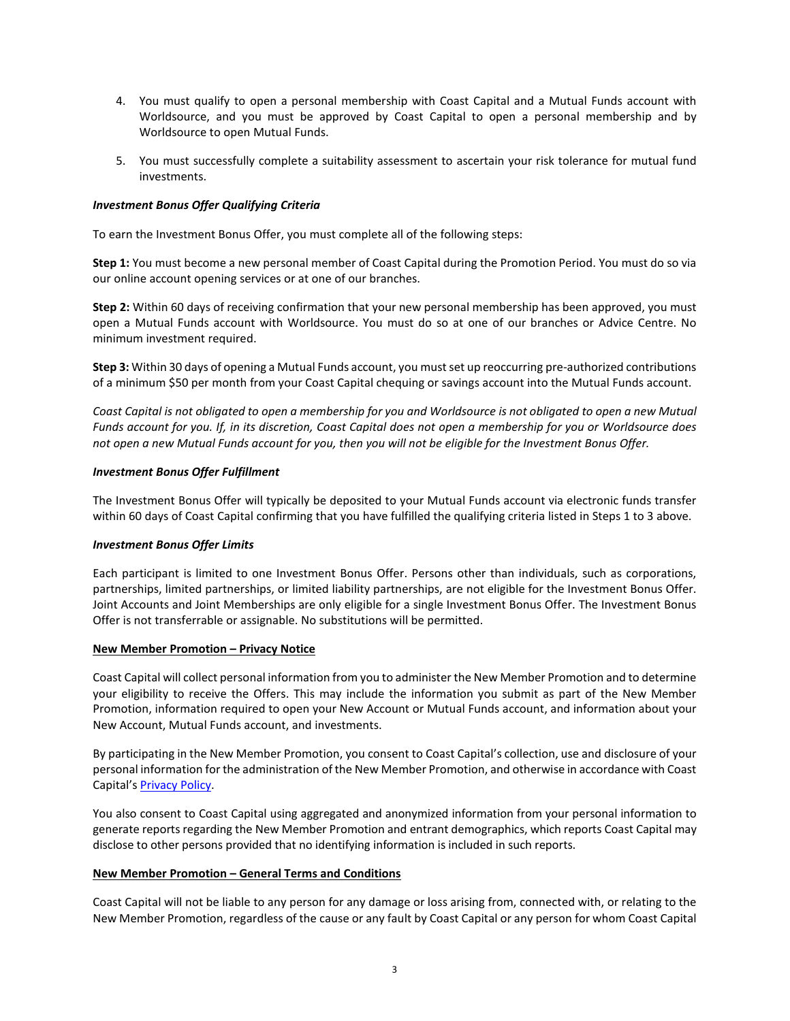- 4. You must qualify to open a personal membership with Coast Capital and a Mutual Funds account with Worldsource, and you must be approved by Coast Capital to open a personal membership and by Worldsource to open Mutual Funds.
- 5. You must successfully complete a suitability assessment to ascertain your risk tolerance for mutual fund investments.

# *Investment Bonus Offer Qualifying Criteria*

To earn the Investment Bonus Offer, you must complete all of the following steps:

**Step 1:** You must become a new personal member of Coast Capital during the Promotion Period. You must do so via our online account opening services or at one of our branches.

**Step 2:** Within 60 days of receiving confirmation that your new personal membership has been approved, you must open a Mutual Funds account with Worldsource. You must do so at one of our branches or Advice Centre. No minimum investment required.

**Step 3:** Within 30 days of opening a Mutual Funds account, you must set up reoccurring pre-authorized contributions of a minimum \$50 per month from your Coast Capital chequing or savings account into the Mutual Funds account.

*Coast Capital is not obligated to open a membership for you and Worldsource is not obligated to open a new Mutual Funds account for you. If, in its discretion, Coast Capital does not open a membership for you or Worldsource does not open a new Mutual Funds account for you, then you will not be eligible for the Investment Bonus Offer.*

### *Investment Bonus Offer Fulfillment*

The Investment Bonus Offer will typically be deposited to your Mutual Funds account via electronic funds transfer within 60 days of Coast Capital confirming that you have fulfilled the qualifying criteria listed in Steps 1 to 3 above.

### *Investment Bonus Offer Limits*

Each participant is limited to one Investment Bonus Offer. Persons other than individuals, such as corporations, partnerships, limited partnerships, or limited liability partnerships, are not eligible for the Investment Bonus Offer. Joint Accounts and Joint Memberships are only eligible for a single Investment Bonus Offer. The Investment Bonus Offer is not transferrable or assignable. No substitutions will be permitted.

### **New Member Promotion – Privacy Notice**

Coast Capital will collect personal information from you to administer the New Member Promotion and to determine your eligibility to receive the Offers. This may include the information you submit as part of the New Member Promotion, information required to open your New Account or Mutual Funds account, and information about your New Account, Mutual Funds account, and investments.

By participating in the New Member Promotion, you consent to Coast Capital's collection, use and disclosure of your personal information for the administration of the New Member Promotion, and otherwise in accordance with Coast Capital's **Privacy Policy**.

You also consent to Coast Capital using aggregated and anonymized information from your personal information to generate reports regarding the New Member Promotion and entrant demographics, which reports Coast Capital may disclose to other persons provided that no identifying information is included in such reports.

### **New Member Promotion – General Terms and Conditions**

Coast Capital will not be liable to any person for any damage or loss arising from, connected with, or relating to the New Member Promotion, regardless of the cause or any fault by Coast Capital or any person for whom Coast Capital